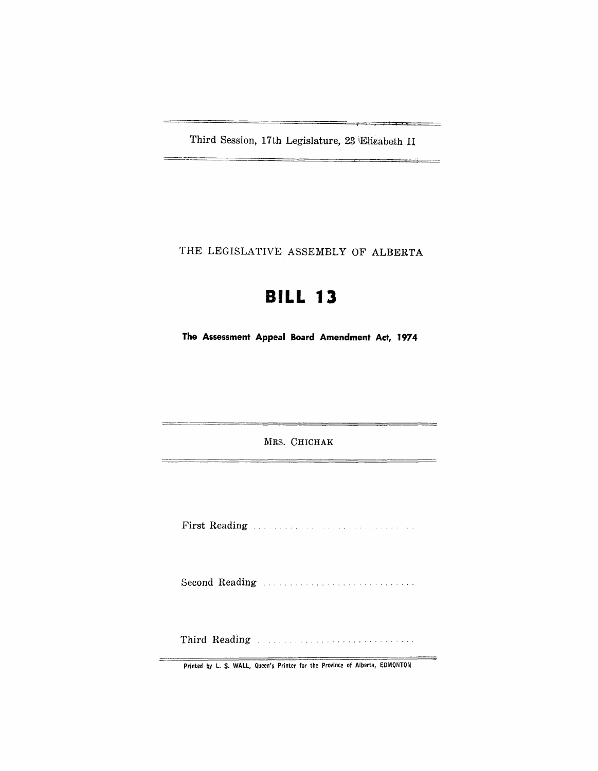Third Session, 17th Legislature, 23 Elizabeth II

 $\rightarrow$  4.000  $\rightarrow$  4.000  $\rightarrow$  0.000  $\rightarrow$ 

÷

THE LEGISLATIVE ASSEMBLY OF ALBERTA

# **BILL 13**

**The Assessment Appeal Board Amendment Act, 1974** 

MRS. CHICHAK

First Reading

Second Reading

Third Reading

Printed by L. S. WALL, Queen's Printer for the Province of Alberta, EDMONTON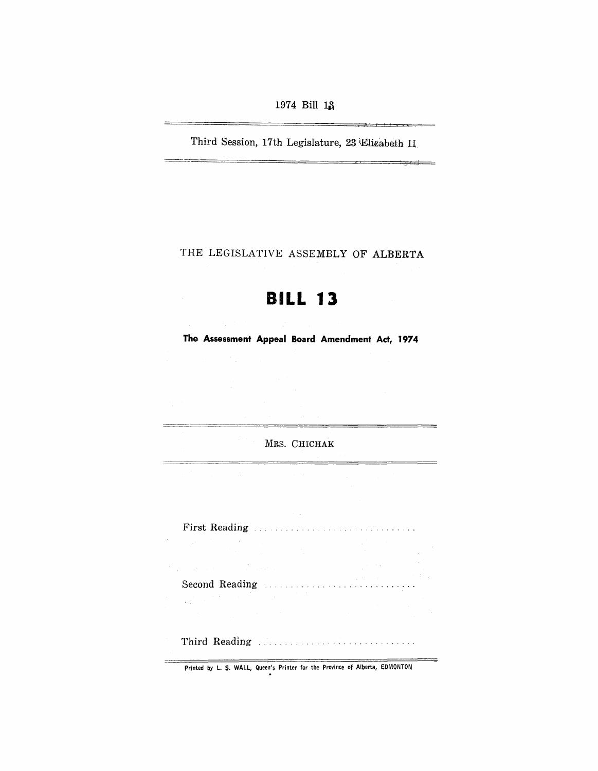## 1974 Bill 13

Third Session, 17th Legislature, 23 Elizabeth II

THE LEGISLATIVE ASSEMBLY OF ALBERTA

# **BILL 13**

**The Assessment Appeal Board Amendment Act, 1974** 

MRS. CHICHAK

 $\bar{L}$ 

 $\frac{1}{2}$ 

—

 $=$ 

| First Reading Manual Prince of the Reading                                                                                                                                                                                                                                                                   |                                                                                                                                                                                                              |  |
|--------------------------------------------------------------------------------------------------------------------------------------------------------------------------------------------------------------------------------------------------------------------------------------------------------------|--------------------------------------------------------------------------------------------------------------------------------------------------------------------------------------------------------------|--|
| $\label{eq:2.1} \mathcal{P}(\mathcal{C}^{(1)}(\mathcal{C}^{(1)})) = \mathcal{P}(\mathcal{C}^{(1)}(\mathcal{C}^{(1)})) = \mathcal{P}(\mathcal{C}^{(1)}(\mathcal{C}^{(1)})) = \mathcal{P}(\mathcal{C}^{(1)}(\mathcal{C}^{(1)}))$                                                                               | $\label{eq:2.1} \mathcal{L}(\mathcal{L}^{\text{max}}_{\mathcal{L}}(\mathcal{L}^{\text{max}}_{\mathcal{L}}))\leq \mathcal{L}(\mathcal{L}^{\text{max}}_{\mathcal{L}}(\mathcal{L}^{\text{max}}_{\mathcal{L}}))$ |  |
| $\mathcal{L}^{\text{max}}_{\text{max}}$ and $\mathcal{L}^{\text{max}}_{\text{max}}$ are the set of the set of the set of the set of the set of the set of the set of the set of the set of the set of the set of the set of the set of the set of the set of the se                                          |                                                                                                                                                                                                              |  |
| . The contract of the contract of the contract of the contract of the contract of the contract of the contract of the contract of the contract of the contract of the contract of the contract of the contract of the contrac                                                                                |                                                                                                                                                                                                              |  |
| Second Reading Manual Manual Manual Manual Manual<br>$\mathcal{L}_{\text{max}}$ and $\mathcal{L}_{\text{max}}$ are the set of the set of the set of the set of the set of the set of the set of the set of the set of the set of the set of the set of the set of the set of the set of the set of the set o | $\mathcal{L}^{\mathcal{A}}$ , and $\mathcal{L}^{\mathcal{A}}$ , and $\mathcal{L}^{\mathcal{A}}$ , and $\mathcal{L}^{\mathcal{A}}$ , and $\mathcal{L}^{\mathcal{A}}$                                          |  |
| . The simple state is the state of the state of the state in the state of the state of the state of the state of the state of the state of the state of the state of the state of the state of the state of the state of the                                                                                 | the control of the control of the control of the                                                                                                                                                             |  |
| Third Reading Manual Communications                                                                                                                                                                                                                                                                          |                                                                                                                                                                                                              |  |

Printed by L. S. WALL, Queen's Printer for the Province of Alberta, EDMONTON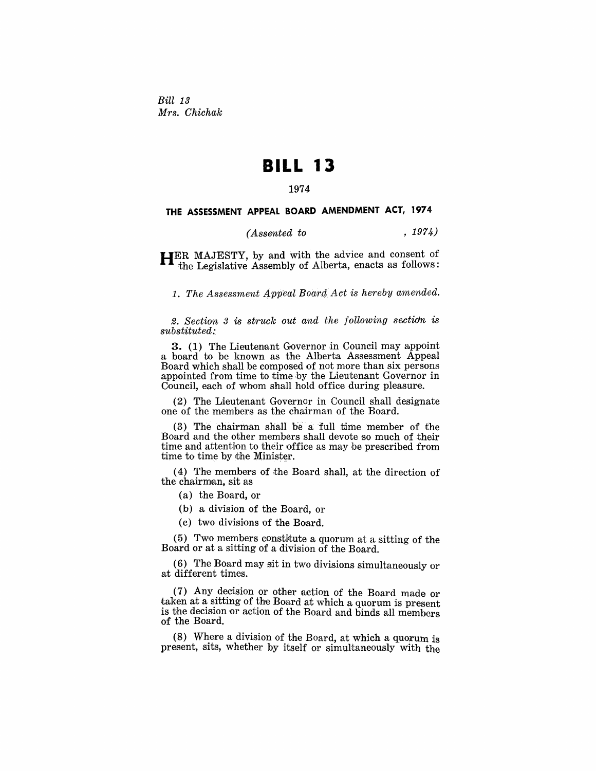*Bill 13 Mrs. Chichak* 

# **BILL 13**

#### 1974

#### **THE ASSESSMENT APPEAL BOARD AMENDMENT ACT, 1974**

### *(Assented to* , 1974)

**HER** MAJESTY, by and with the advice and consent of the Legislative Assembly of Alberta, enacts as follows:

1. The Assessment Appeal Board Act is hereby amended.

2. Section 3 is struck out and the following section is *substituted:* 

**3.** (1) The Lieutenant Governor in Council may appoint a board to be known as the Alberta Assessment Appeal Board which shall be composed of not more than six persons appointed from time to time by the Lieutenant Governor in Council, each of whom shall hold office during pleasure.

(2) The Lieutenant Governor in Council shall designate one of the members as the chairman of the Board.

 $(3)$  The chairman shall be a full time member of the Board and the other members shall devote so much of their time and attention to their office as may be prescribed from time to time by the Minister.

(4) The members of the Board shall, at the direction of the chairman, sit as

(a) the Board, or

(b) a division of the Board, or

(c) two divisions of the Board.

(5) Two members constitute a quorum at a sitting of the Board or at a sitting of a division of the Board.

 $(6)$  The Board may sit in two divisions simultaneously or at different times.

(7) Any decision or other action of the Board made or taken at a sitting of the Board at which a quorum is present is the decision or action of the Board and binds all members of the Board.

(8) Where a division of the Board, at which a quorum is present, sits, whether by itself or simultaneously with the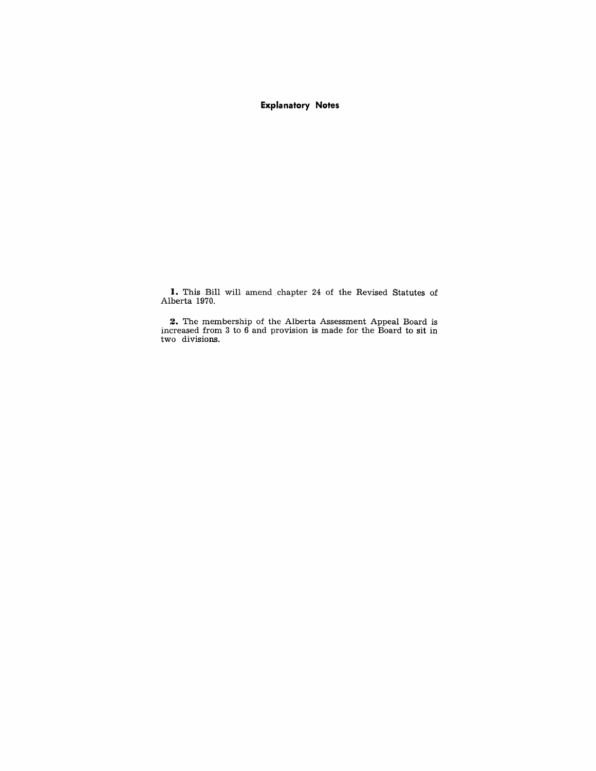### **Explanatory Notes**

**I.** This, Bill will amend. chapter 24 of the Revised Statutes of Alberta 1970.

**2.** The membership of the Alberta Assessment Appeal Board is increased from 3 to 6 and provision is made for the Board to sit in two divisions.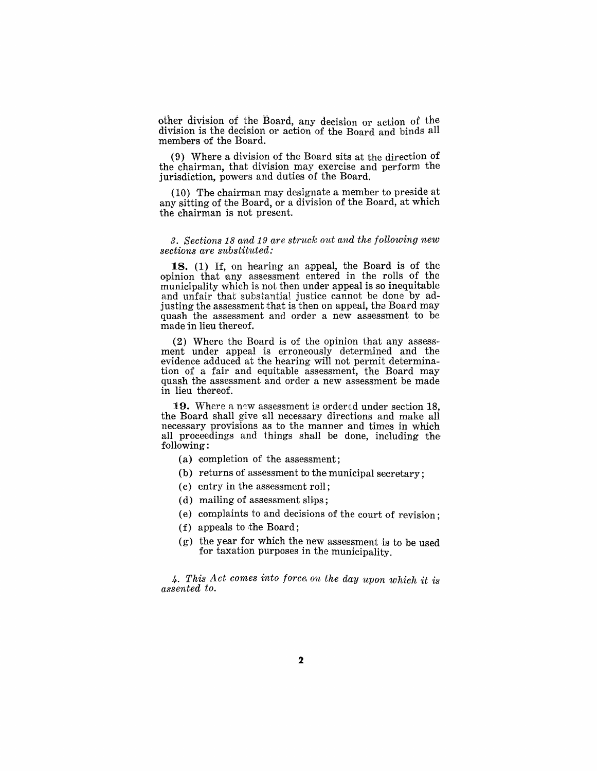other division of the Board, any decision or action of the division is the decision or action of the Board and binds all members of the Board.

(9) Where a division of the Board sits at the direction of the chairman, that division may exercise and perform the jurisdiction, powers and duties of the Board.

(10) The chairman may designate a member to preside at any sitting of the Board, or a division of the Board, at which the chairman is not present.

#### 3. Sections 18 and 19 are struck out and the following new *sections are substituted:*

**18.** (1) If, on hearing an appeal, the Board is of the opinion that any assessment entered in the rolls of the municipality which is not then under appeal is so inequitable and unfair that substantial justice cannot be done by adjusting the assessment that is then on appeal, the Board may quash the assessment and order a new assessment to be made in lieu thereof.

(2) Where the Board is of the opinion that any assessment under appeal is erroneously determined and the evidence adduced at the hearing will not permit determination of a fair and equitable assessment, the Board may quash the assessment and order a new assessment be made in lieu thereof.

19. Where a new assessment is ordered under section 18, the Board shall give all necessary directions and make all necessary provisions as to the manner and times in which all proceedings and things shall be done, including the following:

- (a) completion of the assessment;
- (b) returns of assessment to the municipal secretary:
- $(c)$  entry in the assessment roll;
- (d) mailing of assessment slips;
- (e) complaints to and decisions of the court of revision;
- (f) appeals to the Board;
- (g) the year for which the new assessment is to be used for taxation purposes in the municipality.

*4. This Act comes into force. on the day upon which it* is *assented to.*